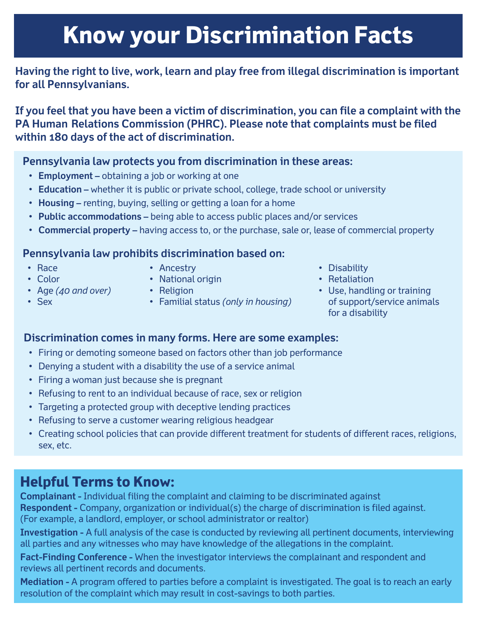# **Know your Discrimination Facts**

## **Having the right to live, work, learn and play free from illegal discrimination is important for all Pennsylvanians.**

**If you feel that you have been a victim of discrimination, you can file a complaint with the PA Human Relations Commission (PHRC). Please note that complaints must be filed within 180 days of the act of discrimination.** 

## **Pennsylvania law protects you from discrimination in these areas:**

- **Employment –** obtaining a job or working at one
- **Education** whether it is public or private school, college, trade school or university
- **Housing –** renting, buying, selling or getting a loan for a home
- **Public accommodations –** being able to access public places and/or services
- **Commercial property –** having access to, or the purchase, sale or, lease of commercial property

### **Pennsylvania law prohibits discrimination based on:**

• Race

• Ancestry

• Color

• Sex

- National origin
- Age *(40 and over)*
- Religion
- Familial status *(only in housing)*
- Disability
- Retaliation
- Use, handling or training of support/service animals for a disability

### **Discrimination comes in many forms. Here are some examples:**

- Firing or demoting someone based on factors other than job performance
- Denying a student with a disability the use of a service animal
- Firing a woman just because she is pregnant
- Refusing to rent to an individual because of race, sex or religion
- Targeting a protected group with deceptive lending practices
- Refusing to serve a customer wearing religious headgear
- Creating school policies that can provide different treatment for students of different races, religions, sex, etc.

## **Helpful Terms to Know:**

**Complainant -** Individual filing the complaint and claiming to be discriminated against **Respondent -** Company, organization or individual(s) the charge of discrimination is filed against. (For example, a landlord, employer, or school administrator or realtor)

**Investigation -** A full analysis of the case is conducted by reviewing all pertinent documents, interviewing all parties and any witnesses who may have knowledge of the allegations in the complaint.

**Fact-Finding Conference -** When the investigator interviews the complainant and respondent and reviews all pertinent records and documents.

**Mediation -** A program offered to parties before a complaint is investigated. The goal is to reach an early resolution of the complaint which may result in cost-savings to both parties.